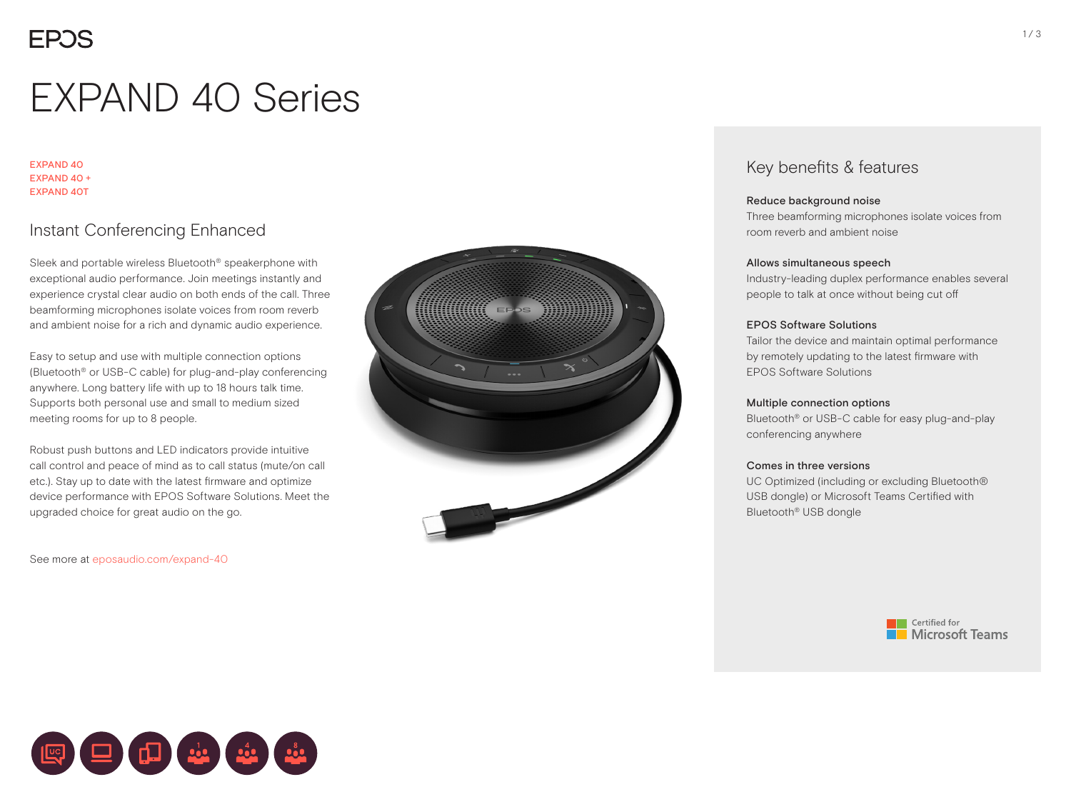# EXPAND 40 Series

EXPAND 40 EXPAND 40 + EXPAND 40T

## Instant Conferencing Enhanced

Sleek and portable wireless Bluetooth® speakerphone with exceptional audio performance. Join meetings instantly and experience crystal clear audio on both ends of the call. Three beamforming microphones isolate voices from room reverb and ambient noise for a rich and dynamic audio experience.

Easy to setup and use with multiple connection options (Bluetooth® or USB-C cable) for plug-and-play conferencing anywhere. Long battery life with up to 18 hours talk time. Supports both personal use and small to medium sized meeting rooms for up to 8 people.

Robust push buttons and LED indicators provide intuitive call control and peace of mind as to call status (mute/on call etc.). Stay up to date with the latest firmware and optimize device performance with EPOS Software Solutions. Meet the upgraded choice for great audio on the go.

See more at eposaudio.com/expand-40



### Key benefits & features

### Reduce background noise

Three beamforming microphones isolate voices from room reverb and ambient noise

### Allows simultaneous speech

Industry-leading duplex performance enables several people to talk at once without being cut off

### EPOS Software Solutions

Tailor the device and maintain optimal performance by remotely updating to the latest firmware with EPOS Software Solutions

### Multiple connection options

Bluetooth® or USB-C cable for easy plug-and-play conferencing anywhere

#### Comes in three versions

UC Optimized (including or excluding Bluetooth® USB dongle) or Microsoft Teams Certified with Bluetooth® USB dongle



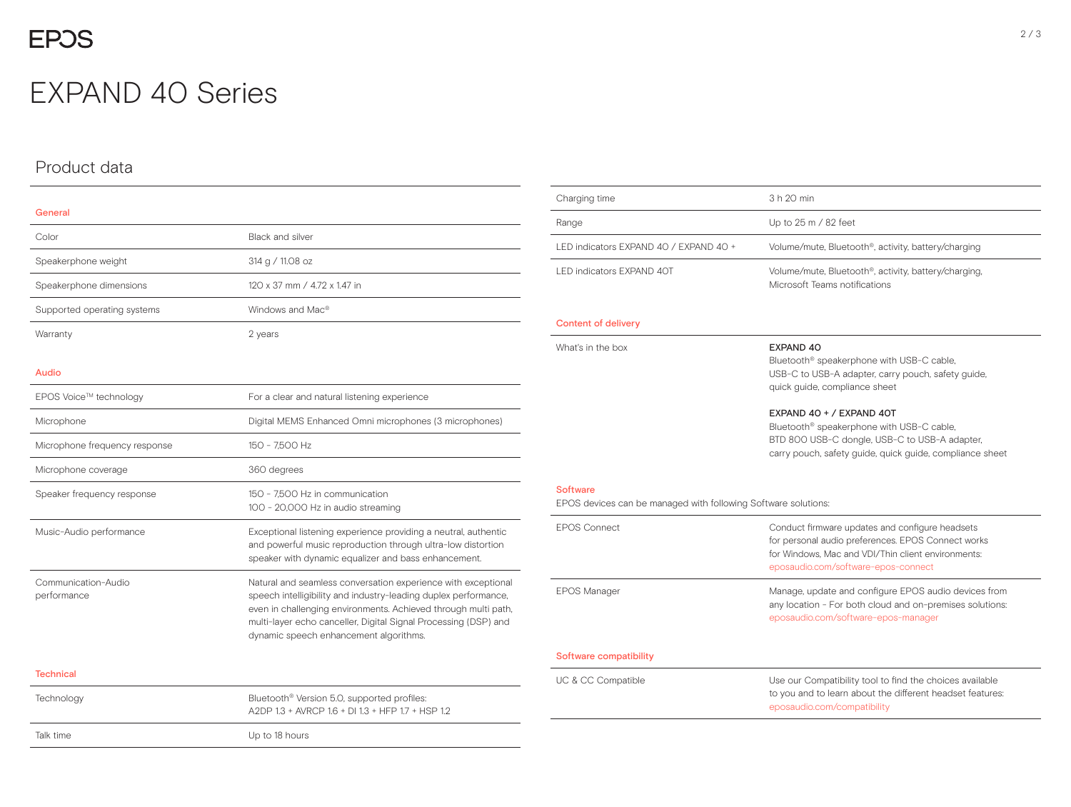## **EPOS**

## EXPAND 40 Series

## Product data

| General                            |                                                                                                                                                                                                                                                                                                                 |  |  |
|------------------------------------|-----------------------------------------------------------------------------------------------------------------------------------------------------------------------------------------------------------------------------------------------------------------------------------------------------------------|--|--|
| Color                              | Black and silver                                                                                                                                                                                                                                                                                                |  |  |
| Speakerphone weight                | 314 g / 11.08 oz                                                                                                                                                                                                                                                                                                |  |  |
| Speakerphone dimensions            | 120 x 37 mm / 4.72 x 1.47 in                                                                                                                                                                                                                                                                                    |  |  |
| Supported operating systems        | Windows and Mac®                                                                                                                                                                                                                                                                                                |  |  |
| Warranty                           | 2 years                                                                                                                                                                                                                                                                                                         |  |  |
| <b>Audio</b>                       |                                                                                                                                                                                                                                                                                                                 |  |  |
| EPOS Voice™ technology             | For a clear and natural listening experience                                                                                                                                                                                                                                                                    |  |  |
| Microphone                         | Digital MEMS Enhanced Omni microphones (3 microphones)                                                                                                                                                                                                                                                          |  |  |
| Microphone frequency response      | 150 - 7.500 Hz                                                                                                                                                                                                                                                                                                  |  |  |
| Microphone coverage                | 360 degrees                                                                                                                                                                                                                                                                                                     |  |  |
| Speaker frequency response         | 150 - 7,500 Hz in communication<br>100 - 20,000 Hz in audio streaming                                                                                                                                                                                                                                           |  |  |
| Music-Audio performance            | Exceptional listening experience providing a neutral, authentic<br>and powerful music reproduction through ultra-low distortion<br>speaker with dynamic equalizer and bass enhancement.                                                                                                                         |  |  |
| Communication-Audio<br>performance | Natural and seamless conversation experience with exceptional<br>speech intelligibility and industry-leading duplex performance,<br>even in challenging environments. Achieved through multi path,<br>multi-layer echo canceller, Digital Signal Processing (DSP) and<br>dynamic speech enhancement algorithms. |  |  |
| <b>Technical</b>                   |                                                                                                                                                                                                                                                                                                                 |  |  |
| Technology                         | Bluetooth <sup>®</sup> Version 5.0, supported profiles:<br>A2DP 1.3 + AVRCP 1.6 + DI 1.3 + HFP 1.7 + HSP 1.2                                                                                                                                                                                                    |  |  |
| Talk time                          | Up to 18 hours                                                                                                                                                                                                                                                                                                  |  |  |

| Charging time                                                                     | 3 h 20 min                                                                                                                                                                                         |  |  |
|-----------------------------------------------------------------------------------|----------------------------------------------------------------------------------------------------------------------------------------------------------------------------------------------------|--|--|
| Range                                                                             | Up to 25 m / 82 feet                                                                                                                                                                               |  |  |
| LED indicators EXPAND 40 / EXPAND 40 +                                            | Volume/mute, Bluetooth <sup>®</sup> , activity, battery/charging                                                                                                                                   |  |  |
| <b>I FD indicators FXPAND 40T</b>                                                 | Volume/mute, Bluetooth <sup>®</sup> , activity, battery/charging,<br>Microsoft Teams notifications                                                                                                 |  |  |
| <b>Content of delivery</b>                                                        |                                                                                                                                                                                                    |  |  |
| What's in the box                                                                 | EXPAND 40<br>Bluetooth <sup>®</sup> speakerphone with USB-C cable,<br>USB-C to USB-A adapter, carry pouch, safety guide,<br>quick guide, compliance sheet                                          |  |  |
|                                                                                   | EXPAND 40 + / EXPAND 40T<br>Bluetooth® speakerphone with USB-C cable,<br>BTD 800 USB-C dongle, USB-C to USB-A adapter,<br>carry pouch, safety guide, quick guide, compliance sheet                 |  |  |
| <b>Software</b><br>EPOS devices can be managed with following Software solutions: |                                                                                                                                                                                                    |  |  |
|                                                                                   |                                                                                                                                                                                                    |  |  |
| <b>FPOS Connect</b>                                                               | Conduct firmware updates and configure headsets<br>for personal audio preferences. EPOS Connect works<br>for Windows. Mac and VDI/Thin client environments:<br>eposaudio.com/software-epos-connect |  |  |
| <b>EPOS Manager</b>                                                               | Manage, update and configure EPOS audio devices from<br>any location - For both cloud and on-premises solutions:<br>eposaudio.com/software-epos-manager                                            |  |  |
| Software compatibility                                                            |                                                                                                                                                                                                    |  |  |